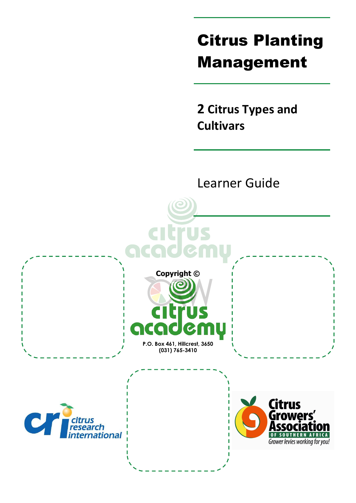# Citrus Planting Management

**2 Citrus Types and Cultivars**

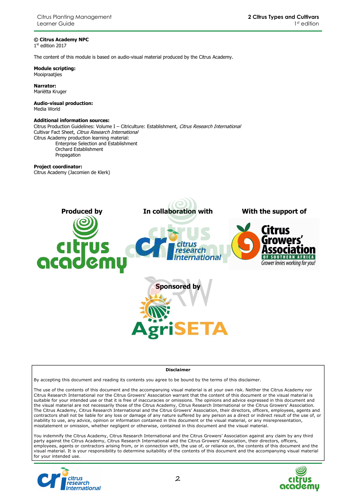#### **© Citrus Academy NPC**

1 st edition 2017

The content of this module is based on audio-visual material produced by the Citrus Academy.

**Module scripting:**  Mooipraatjies

**Narrator:**  Mariëtta Kruger

**Audio-visual production:**  Media World

#### **Additional information sources:**

Citrus Production Guidelines: Volume I - Citriculture: Establishment, Citrus Research International Cultivar Fact Sheet, Citrus Research International Citrus Academy production learning material: Enterprise Selection and Establishment Orchard Establishment

Propagation

#### **Project coordinator:**

Citrus Academy (Jacomien de Klerk)



#### **Disclaimer**

By accepting this document and reading its contents you agree to be bound by the terms of this disclaimer.

The use of the contents of this document and the accompanying visual material is at your own risk. Neither the Citrus Academy nor Citrus Research International nor the Citrus Growers' Association warrant that the content of this document or the visual material is suitable for your intended use or that it is free of inaccuracies or omissions. The opinions and advice expressed in this document and the visual material are not necessarily those of the Citrus Academy, Citrus Research International or the Citrus Growers' Association. The Citrus Academy, Citrus Research International and the Citrus Growers' Association, their directors, officers, employees, agents and contractors shall not be liable for any loss or damage of any nature suffered by any person as a direct or indirect result of the use of, or inability to use, any advice, opinion or information contained in this document or the visual material, or any misrepresentation, misstatement or omission, whether negligent or otherwise, contained in this document and the visual material.

You indemnify the Citrus Academy, Citrus Research International and the Citrus Growers' Association against any claim by any third party against the Citrus Academy, Citrus Research International and the Citrus Growers' Association, their directors, officers, employees, agents or contractors arising from, or in connection with, the use of, or reliance on, the contents of this document and the visual material. It is your responsibility to determine suitability of the contents of this document and the accompanying visual material for your intended use.



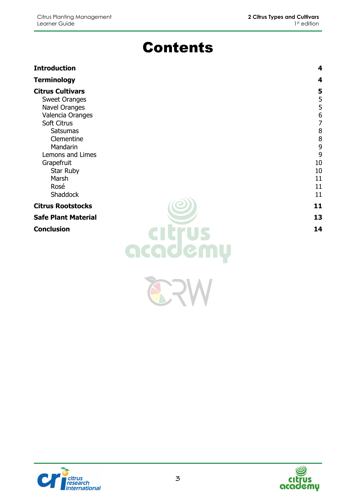## Contents

#### **Introduction 4 Terminology 4 Citrus Cultivars 5** Sweet Oranges 5<br>Navel Oranges 5<br>5 **Navel Oranges** Valencia Oranges 6 Soft Citrus 7 Satsumas and the set of the set of the set of the set of the set of the set of the set of the set of the set of the set of the set of the set of the set of the set of the set of the set of the set of the set of the set of Clementine 8 Mandarin 9 Lemons and Limes 9 Grapefruit 10 Star Ruby 10 Marsh 11 Rosé d'ann an t-India ann an t-India ann an t-India ann an t-India ann an t-India ann an t-India ann an t-India Shaddock 11 **Citrus Rootstocks** 11 **Safe Plant Material 13 Conclusion 14**

 $\sum_{i=1}^{n}$ 



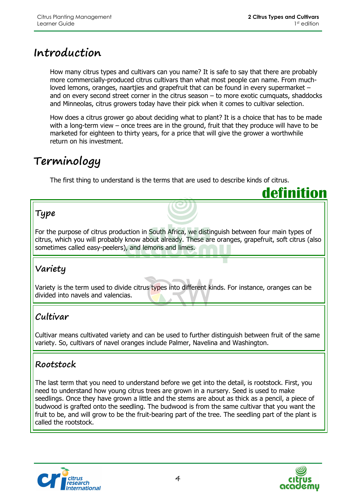**definition**

### **Introduction**

How many citrus types and cultivars can you name? It is safe to say that there are probably more commercially-produced citrus cultivars than what most people can name. From muchloved lemons, oranges, naartjies and grapefruit that can be found in every supermarket – and on every second street corner in the citrus season – to more exotic cumquats, shaddocks and Minneolas, citrus growers today have their pick when it comes to cultivar selection.

How does a citrus grower go about deciding what to plant? It is a choice that has to be made with a long-term view – once trees are in the ground, fruit that they produce will have to be marketed for eighteen to thirty years, for a price that will give the grower a worthwhile return on his investment.

### **Terminology**

The first thing to understand is the terms that are used to describe kinds of citrus.

### **Type**

For the purpose of citrus production in South Africa, we distinguish between four main types of citrus, which you will probably know about already. These are oranges, grapefruit, soft citrus (also sometimes called easy-peelers), and lemons and limes.

### **Variety**

Variety is the term used to divide citrus types into different kinds. For instance, oranges can be divided into navels and valencias.

### **Cultivar**

Cultivar means cultivated variety and can be used to further distinguish between fruit of the same variety. So, cultivars of navel oranges include Palmer, Navelina and Washington.

### **Rootstock**

The last term that you need to understand before we get into the detail, is rootstock. First, you need to understand how young citrus trees are grown in a nursery. Seed is used to make seedlings. Once they have grown a little and the stems are about as thick as a pencil, a piece of budwood is grafted onto the seedling. The budwood is from the same cultivar that you want the fruit to be, and will grow to be the fruit-bearing part of the tree. The seedling part of the plant is called the rootstock.



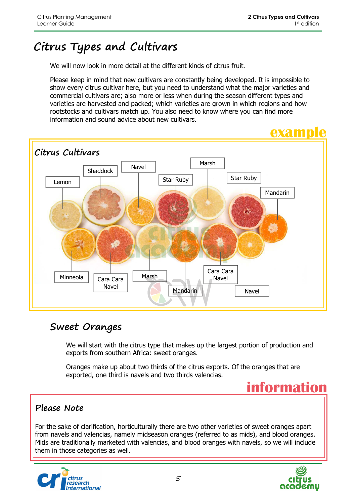## **Citrus Types and Cultivars**

We will now look in more detail at the different kinds of citrus fruit.

Please keep in mind that new cultivars are constantly being developed. It is impossible to show every citrus cultivar here, but you need to understand what the major varieties and commercial cultivars are; also more or less when during the season different types and varieties are harvested and packed; which varieties are grown in which regions and how rootstocks and cultivars match up. You also need to know where you can find more information and sound advice about new cultivars.



### **Sweet Oranges**

We will start with the citrus type that makes up the largest portion of production and exports from southern Africa: sweet oranges.

Oranges make up about two thirds of the citrus exports. Of the oranges that are exported, one third is navels and two thirds valencias.



#### **Please Note**

For the sake of clarification, horticulturally there are two other varieties of sweet oranges apart from navels and valencias, namely midseason oranges (referred to as mids), and blood oranges. Mids are traditionally marketed with valencias, and blood oranges with navels, so we will include them in those categories as well.



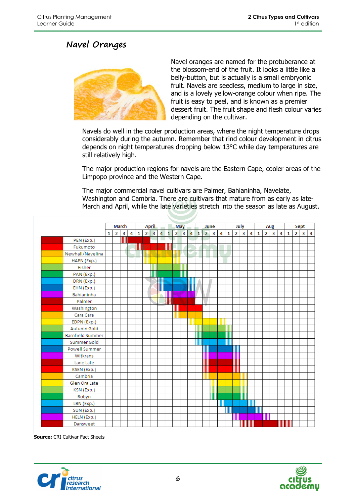#### **Navel Oranges**



Navel oranges are named for the protuberance at the blossom-end of the fruit. It looks a little like a belly-button, but is actually is a small embryonic fruit. Navels are seedless, medium to large in size, and is a lovely yellow-orange colour when ripe. The fruit is easy to peel, and is known as a premier dessert fruit. The fruit shape and flesh colour varies depending on the cultivar.

Navels do well in the cooler production areas, where the night temperature drops considerably during the autumn. Remember that rind colour development in citrus depends on night temperatures dropping below 13°C while day temperatures are still relatively high.

The major production regions for navels are the Eastern Cape, cooler areas of the Limpopo province and the Western Cape.

The major commercial navel cultivars are Palmer, Bahianinha, Navelate, Washington and Cambria. There are cultivars that mature from as early as late-March and April, while the late varieties stretch into the season as late as August.

|                         | March<br><b>April</b> |                |                |                |       |            |                         |   |       |                |      |                |              |                |                         |   |              |                |                         |                         |              |                |                         |   |              |                         |                         |   |
|-------------------------|-----------------------|----------------|----------------|----------------|-------|------------|-------------------------|---|-------|----------------|------|----------------|--------------|----------------|-------------------------|---|--------------|----------------|-------------------------|-------------------------|--------------|----------------|-------------------------|---|--------------|-------------------------|-------------------------|---|
|                         |                       |                |                |                |       |            |                         |   |       |                | May  |                |              |                | June                    |   |              |                | July                    |                         |              |                | Aug                     |   |              |                         | Sept                    |   |
|                         | 1                     | 2 <sup>1</sup> | 3 <sup>1</sup> | $\overline{4}$ |       | $1 \mid 2$ | $\overline{\mathbf{3}}$ | 4 | 1     | $\overline{2}$ | 3    | $\overline{4}$ | $\mathbf{1}$ | $\overline{2}$ | $\overline{\mathbf{3}}$ | 4 | $\mathbf{1}$ | $\overline{2}$ | $\overline{\mathbf{3}}$ | $\overline{\mathbf{4}}$ | $\mathbf{1}$ | $\overline{2}$ | $\overline{\mathbf{3}}$ | 4 | $\mathbf{1}$ | $\overline{\mathbf{2}}$ | $\overline{\mathbf{3}}$ | 4 |
| PEN (Exp.)              |                       |                | IIIII          |                |       |            |                         |   |       |                |      |                |              |                |                         |   |              |                |                         |                         |              |                |                         |   |              |                         |                         |   |
| Fukumoto                |                       |                |                |                | IIIII |            |                         |   | IIIII |                |      |                |              |                |                         |   |              |                |                         |                         |              |                |                         |   |              |                         |                         |   |
| Newhall/Navelina        |                       |                |                |                |       |            |                         |   |       |                |      |                |              |                |                         |   |              |                |                         |                         |              |                |                         |   |              |                         |                         |   |
| HAEN (Exp.)             |                       |                |                |                |       |            |                         |   |       |                |      |                |              |                |                         |   |              |                |                         |                         |              |                |                         |   |              |                         |                         |   |
| Fisher                  |                       |                |                |                |       |            |                         |   |       |                |      |                |              |                |                         |   |              |                |                         |                         |              |                |                         |   |              |                         |                         |   |
| PAN (Exp.)              |                       |                |                |                |       |            | WII                     |   |       |                | IIII |                |              |                |                         |   |              |                |                         |                         |              |                |                         |   |              |                         |                         |   |
| DRN (Exp.)              |                       |                |                |                |       |            |                         |   |       |                |      |                |              |                |                         |   |              |                |                         |                         |              |                |                         |   |              |                         |                         |   |
| EHN (Exp.)              |                       |                |                |                |       |            |                         |   |       |                |      |                |              |                |                         |   |              |                |                         |                         |              |                |                         |   |              |                         |                         |   |
| Bahianinha              |                       |                |                |                |       |            |                         |   |       |                |      |                |              |                |                         |   |              |                |                         |                         |              |                |                         |   |              |                         |                         |   |
| Palmer                  |                       |                |                |                |       |            |                         |   | WW    |                |      |                |              |                |                         |   |              |                |                         |                         |              |                |                         |   |              |                         |                         |   |
| Washington              |                       |                |                |                |       |            |                         |   |       |                |      |                |              |                |                         |   |              |                |                         |                         |              |                |                         |   |              |                         |                         |   |
| Cara Cara               |                       |                |                |                |       |            |                         |   |       |                |      |                |              |                |                         |   |              |                |                         |                         |              |                |                         |   |              |                         |                         |   |
| EDPN (Exp.)             |                       |                |                |                |       |            |                         |   |       |                |      |                |              |                |                         |   |              |                |                         |                         |              |                |                         |   |              |                         |                         |   |
| Autumn Gold             |                       |                |                |                |       |            |                         |   |       |                |      |                |              |                |                         |   |              |                |                         |                         |              |                |                         |   |              |                         |                         |   |
| <b>Barnfield Summer</b> |                       |                |                |                |       |            |                         |   |       |                |      |                | IIIII        |                |                         |   | IIII         |                |                         |                         |              |                |                         |   |              |                         |                         |   |
| Summer Gold             |                       |                |                |                |       |            |                         |   |       |                |      |                |              |                |                         |   | IIII         |                |                         |                         |              |                |                         |   |              |                         |                         |   |
| <b>Powell Summer</b>    |                       |                |                |                |       |            |                         |   |       |                |      |                |              |                |                         |   |              |                |                         |                         |              |                |                         |   |              |                         |                         |   |
| Witkrans                |                       |                |                |                |       |            |                         |   |       |                |      |                |              |                |                         |   |              |                |                         |                         |              |                |                         |   |              |                         |                         |   |
| Lane Late               |                       |                |                |                |       |            |                         |   |       |                |      |                |              |                |                         |   |              | Ⅲ              |                         |                         |              |                |                         |   |              |                         |                         |   |
| KSEN (Exp.)             |                       |                |                |                |       |            |                         |   |       |                |      |                |              |                |                         |   |              |                |                         |                         |              |                |                         |   |              |                         |                         |   |
| Cambria                 |                       |                |                |                |       |            |                         |   |       |                |      |                |              |                |                         |   |              |                |                         |                         |              |                |                         |   |              |                         |                         |   |
| Glen Ora Late           |                       |                |                |                |       |            |                         |   |       |                |      |                |              |                |                         |   |              |                |                         |                         |              |                |                         |   |              |                         |                         |   |
| KSN (Exp.)              |                       |                |                |                |       |            |                         |   |       |                |      |                |              |                |                         |   |              |                |                         |                         |              |                |                         |   |              |                         |                         |   |
| Robyn                   |                       |                |                |                |       |            |                         |   |       |                |      |                |              |                | IIIII                   |   |              |                | Ⅲ                       |                         |              |                |                         |   |              |                         |                         |   |
| LBN (Exp.)              |                       |                |                |                |       |            |                         |   |       |                |      |                |              |                |                         |   |              |                |                         |                         |              |                |                         |   |              |                         |                         |   |
| SUN (Exp.)              |                       |                |                |                |       |            |                         |   |       |                |      |                |              |                |                         |   | IIIII        |                |                         |                         | Ⅲ            |                |                         |   |              |                         |                         |   |
| HELN (Exp.)             |                       |                |                |                |       |            |                         |   |       |                |      |                |              |                |                         |   |              |                |                         |                         |              |                |                         |   |              |                         |                         |   |
| Dansweet                |                       |                |                |                |       |            |                         |   |       |                |      |                |              |                |                         |   |              |                |                         |                         |              |                |                         |   |              |                         |                         |   |

**Source: CRI Cultivar Fact Sheets** 



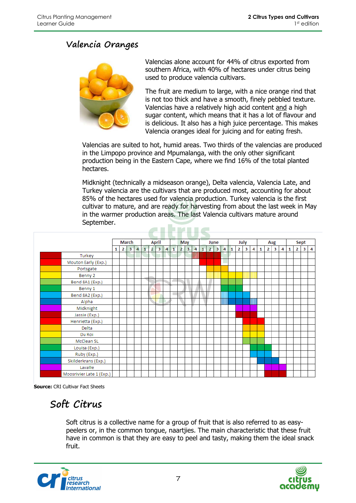#### **Valencia Oranges**



Valencias alone account for 44% of citrus exported from southern Africa, with 40% of hectares under citrus being used to produce valencia cultivars.

The fruit are medium to large, with a nice orange rind that is not too thick and have a smooth, finely pebbled texture. Valencias have a relatively high acid content and a high sugar content, which means that it has a lot of flavour and is delicious. It also has a high juice percentage. This makes Valencia oranges ideal for juicing and for eating fresh.

Valencias are suited to hot, humid areas. Two thirds of the valencias are produced in the Limpopo province and Mpumalanga, with the only other significant production being in the Eastern Cape, where we find 16% of the total planted hectares.

Midknight (technically a midseason orange), Delta valencia, Valencia Late, and Turkey valencia are the cultivars that are produced most, accounting for about 85% of the hectares used for valencia production. Turkey valencia is the first cultivar to mature, and are ready for harvesting from about the last week in May in the warmer production areas. The last Valencia cultivars mature around September.  $\sim$  . In the set of  $\sim$ 

|                          |   |                | <b>March</b>   |                |              |                | <b>April</b>            |                |              |                | <b>May</b>     |                |          | June              |      |              |                | July |   |   |                | Aug                     |   |              |                | Sept |   |
|--------------------------|---|----------------|----------------|----------------|--------------|----------------|-------------------------|----------------|--------------|----------------|----------------|----------------|----------|-------------------|------|--------------|----------------|------|---|---|----------------|-------------------------|---|--------------|----------------|------|---|
|                          | 1 | 2 <sub>1</sub> | 3 <sup>2</sup> | $\overline{4}$ | $\mathbf{1}$ | $\overline{2}$ | $\overline{\mathbf{3}}$ | $\overline{4}$ | $\mathbf{1}$ | $\overline{2}$ | 3 <sup>2</sup> | $\overline{a}$ | $1\vert$ | $2 \mid 3 \mid 4$ |      | $\mathbf{1}$ | $\overline{2}$ | 3    | 4 | 1 | $\overline{2}$ | $\overline{\mathbf{3}}$ | 4 | $\mathbf{1}$ | $\overline{2}$ | 3    | 4 |
| Turkey                   |   |                |                |                |              |                |                         |                |              |                |                | IIIII          |          |                   |      |              |                |      |   |   |                |                         |   |              |                |      |   |
| Mouton Early (Exp.)      |   |                |                |                |              |                |                         |                |              |                |                |                |          |                   |      |              |                |      |   |   |                |                         |   |              |                |      |   |
| Portsgate                |   |                |                |                |              |                |                         |                |              |                |                |                |          |                   |      |              |                |      |   |   |                |                         |   |              |                |      |   |
| Benny 2                  |   |                |                |                |              |                |                         |                |              |                |                |                |          |                   |      |              |                |      |   |   |                |                         |   |              |                |      |   |
| Bend 8A1 (Exp.)          |   |                |                |                |              |                |                         |                |              |                |                |                |          |                   |      |              |                |      |   |   |                |                         |   |              |                |      |   |
| Benny 1                  |   |                |                |                |              |                |                         |                |              |                |                |                |          |                   |      |              |                |      |   |   |                |                         |   |              |                |      |   |
| Bend 8A2 (Exp.)          |   |                |                |                |              |                |                         |                | ٠            |                |                |                |          |                   |      |              |                |      |   |   |                |                         |   |              |                |      |   |
| Alpha                    |   |                |                |                |              |                |                         |                |              |                |                |                |          |                   | IIII |              |                |      | Ш |   |                |                         |   |              |                |      |   |
| Midknight                |   |                |                |                |              |                |                         |                |              |                |                |                |          |                   |      |              |                |      |   |   |                |                         |   |              |                |      |   |
| Jassie (Exp.)            |   |                |                |                |              |                |                         |                |              |                |                |                |          |                   |      |              |                |      |   |   |                |                         |   |              |                |      |   |
| Henrietta (Exp.)         |   |                |                |                |              |                |                         |                |              |                |                |                |          |                   |      |              |                |      |   |   |                |                         |   |              |                |      |   |
| Delta                    |   |                |                |                |              |                |                         |                |              |                |                |                |          |                   |      |              |                |      |   |   |                |                         |   |              |                |      |   |
| Du Roi                   |   |                |                |                |              |                |                         |                |              |                |                |                |          |                   |      |              |                |      |   |   |                |                         |   |              |                |      |   |
| McClean SL               |   |                |                |                |              |                |                         |                |              |                |                |                |          |                   |      |              |                |      |   |   |                |                         |   |              |                |      |   |
| Louisa (Exp.)            |   |                |                |                |              |                |                         |                |              |                |                |                |          |                   |      |              |                |      |   |   |                |                         |   |              |                |      |   |
| Ruby (Exp.)              |   |                |                |                |              |                |                         |                |              |                |                |                |          |                   |      |              |                |      |   |   |                |                         |   |              |                |      |   |
| Skilderkrans (Exp.)      |   |                |                |                |              |                |                         |                |              |                |                |                |          |                   |      |              |                |      |   |   |                |                         |   |              |                |      |   |
| Lavalle                  |   |                |                |                |              |                |                         |                |              |                |                |                |          |                   |      |              |                |      |   |   |                |                         |   |              |                |      |   |
| Moosrivier Late 1 (Exp.) |   |                |                |                |              |                |                         |                |              |                |                |                |          |                   |      |              |                |      |   |   |                |                         |   |              |                |      |   |

**Source:** CRI Cultivar Fact Sheets

### **Soft Citrus**

Soft citrus is a collective name for a group of fruit that is also referred to as easypeelers or, in the common tongue, naartjies. The main characteristic that these fruit have in common is that they are easy to peel and tasty, making them the ideal snack fruit.



![](_page_6_Picture_13.jpeg)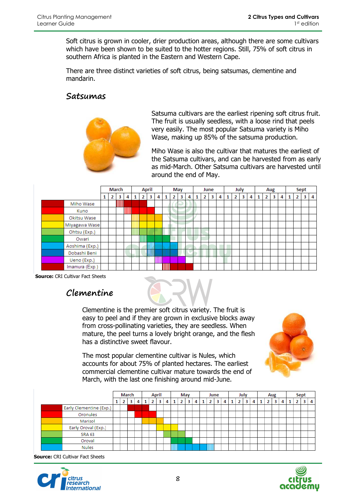Soft citrus is grown in cooler, drier production areas, although there are some cultivars which have been shown to be suited to the hotter regions. Still, 75% of soft citrus in southern Africa is planted in the Eastern and Western Cape.

There are three distinct varieties of soft citrus, being satsumas, clementine and mandarin.

#### **Satsumas**

![](_page_7_Picture_5.jpeg)

Satsuma cultivars are the earliest ripening soft citrus fruit. The fruit is usually seedless, with a loose rind that peels very easily. The most popular Satsuma variety is Miho Wase, making up 85% of the satsuma production.

Miho Wase is also the cultivar that matures the earliest of the Satsuma cultivars, and can be harvested from as early as mid-March. Other Satsuma cultivars are harvested until around the end of May.

|                | <b>March</b> |      |       |   |                | <b>April</b> |   |   | May |   |   |                | June           |   |                | July |   |   |   | Aug |   |   | <b>Sept</b> |   |
|----------------|--------------|------|-------|---|----------------|--------------|---|---|-----|---|---|----------------|----------------|---|----------------|------|---|---|---|-----|---|---|-------------|---|
|                | 2            | 3    | 4     | 1 | $\overline{2}$ | 3            | 4 |   | 2   | 3 | 4 | 2 <sup>1</sup> | 3 <sup>1</sup> | 4 | $\overline{2}$ | 3    | 4 | 1 | 2 | 3   | 4 | 2 | 3           | 4 |
| Miho Wase      |              | IIII |       |   |                |              |   |   |     |   |   |                |                |   |                |      |   |   |   |     |   |   |             |   |
| Kuno           |              |      | IIIII |   |                |              |   |   |     |   |   |                |                |   |                |      |   |   |   |     |   |   |             |   |
| Okitsu Wase    |              |      |       |   |                |              |   |   |     |   |   |                |                |   |                |      |   |   |   |     |   |   |             |   |
| Miyagawa Wase  |              |      |       |   |                |              |   |   |     |   |   |                |                |   |                |      |   |   |   |     |   |   |             |   |
| Ohtsu (Exp.)   |              |      |       |   |                |              |   |   |     |   |   |                |                |   |                |      |   |   |   |     |   |   |             |   |
| Owari          |              |      |       |   | IIII           |              |   |   |     |   |   |                |                |   |                |      |   |   |   |     |   |   |             |   |
| Aoshima (Exp.) |              |      |       |   |                |              |   |   |     |   |   |                |                |   |                |      |   |   |   |     |   |   |             |   |
| Dobashi Beni   |              |      |       |   |                |              |   |   |     |   |   |                |                |   |                |      |   |   |   |     |   |   |             |   |
| Ueno (Exp.)    |              |      |       |   |                |              |   |   |     |   |   |                |                |   |                |      |   |   |   |     |   |   |             |   |
| Imamura (Exp.) |              |      |       |   |                |              |   | ▥ |     |   |   |                |                |   |                |      |   |   |   |     |   |   |             |   |

 **Source:** CRI Cultivar Fact Sheets

#### **Clementine**

Clementine is the premier soft citrus variety. The fruit is easy to peel and if they are grown in exclusive blocks away from cross-pollinating varieties, they are seedless. When mature, the peel turns a lovely bright orange, and the flesh has a distinctive sweet flavour.

The most popular clementine cultivar is Nules, which accounts for about 75% of planted hectares. The earliest commercial clementine cultivar mature towards the end of March, with the last one finishing around mid-June.

|                         | March |    |   |   | <b>April</b> |  |   |   | May |                |   | June |   | July |   |   | Aug |  |   |  | Sept |  |   |
|-------------------------|-------|----|---|---|--------------|--|---|---|-----|----------------|---|------|---|------|---|---|-----|--|---|--|------|--|---|
|                         |       | z. | з | 4 | 1            |  | з | 4 | 1   | 2 <sup>1</sup> | 3 | 4    | 2 | 4    | 2 | 3 |     |  | 3 |  | 2    |  | 4 |
| Early Clementine (Exp.) |       |    |   |   |              |  |   |   |     |                |   |      |   |      |   |   |     |  |   |  |      |  |   |
| Oronules                |       |    |   |   |              |  |   |   |     |                |   |      |   |      |   |   |     |  |   |  |      |  |   |
| Marisol                 |       |    |   |   |              |  |   |   |     |                |   |      |   |      |   |   |     |  |   |  |      |  |   |
| Early Oroval (Exp.)     |       |    |   |   |              |  |   |   |     |                |   |      |   |      |   |   |     |  |   |  |      |  |   |
| SRA 63                  |       |    |   |   |              |  |   |   |     |                |   |      |   |      |   |   |     |  |   |  |      |  |   |
| Oroval                  |       |    |   |   |              |  |   |   |     |                |   |      |   |      |   |   |     |  |   |  |      |  |   |
| <b>Nules</b>            |       |    |   |   |              |  |   |   |     |                |   |      |   |      |   |   |     |  |   |  |      |  |   |

**Source:** CRI Cultivar Fact Sheets

![](_page_7_Picture_16.jpeg)

![](_page_7_Picture_17.jpeg)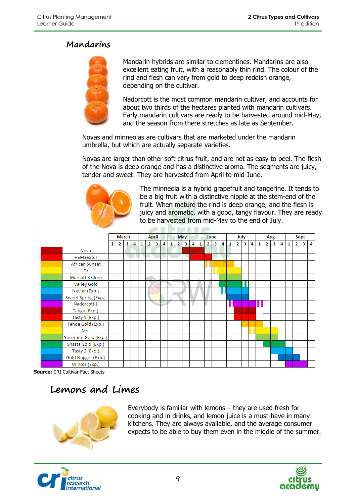#### **Mandarins**

![](_page_8_Picture_3.jpeg)

Mandarin hybrids are similar to clementines. Mandarins are also excellent eating fruit, with a reasonably thin rind. The colour of the rind and flesh can vary from gold to deep reddish orange, depending on the cultivar.

Nadorcott is the most common mandarin cultivar, and accounts for about two thirds of the hectares planted with mandarin cultivars. Early mandarin cultivars are ready to be harvested around mid-May, and the season from there stretches as late as September.

Novas and minneolas are cultivars that are marketed under the mandarin umbrella, but which are actually separate varieties.

Novas are larger than other soft citrus fruit, and are not as easy to peel. The flesh of the Nova is deep orange and has a distinctive aroma. The segments are juicy, tender and sweet. They are harvested from April to mid-June.

![](_page_8_Picture_8.jpeg)

The minneola is a hybrid grapefruit and tangerine. It tends to be a big fruit with a distinctive nipple at the stem-end of the fruit. When mature the rind is deep orange, and the flesh is juicy and aromatic, with a good, tangy flavour. They are ready to be harvested from mid-May to the end of July.

![](_page_8_Figure_10.jpeg)

**Source:** CRI Cultivar Fact Sheets

### **Lemons and Limes**

![](_page_8_Picture_13.jpeg)

Everybody is familiar with lemons – they are used fresh for cooking and in drinks, and lemon juice is a must-have in many kitchens. They are always available, and the average consumer expects to be able to buy them even in the middle of the summer.

![](_page_8_Picture_15.jpeg)

![](_page_8_Picture_16.jpeg)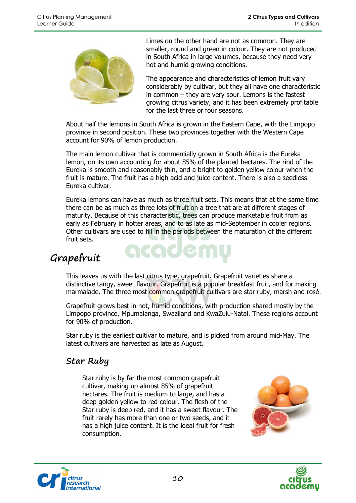![](_page_9_Picture_2.jpeg)

Limes on the other hand are not as common. They are smaller, round and green in colour. They are not produced in South Africa in large volumes, because they need very hot and humid growing conditions.

The appearance and characteristics of lemon fruit vary considerably by cultivar, but they all have one characteristic in common – they are very sour. Lemons is the fastest growing citrus variety, and it has been extremely profitable for the last three or four seasons.

About half the lemons in South Africa is grown in the Eastern Cape, with the Limpopo province in second position. These two provinces together with the Western Cape account for 90% of lemon production.

The main lemon cultivar that is commercially grown in South Africa is the Eureka lemon, on its own accounting for about 85% of the planted hectares. The rind of the Eureka is smooth and reasonably thin, and a bright to golden yellow colour when the fruit is mature. The fruit has a high acid and juice content. There is also a seedless Eureka cultivar.

Eureka lemons can have as much as three fruit sets. This means that at the same time there can be as much as three lots of fruit on a tree that are at different stages of maturity. Because of this characteristic, trees can produce marketable fruit from as early as February in hotter areas, and to as late as mid-September in cooler regions. Other cultivars are used to fill in the periods between the maturation of the different fruit sets.

<u>icade i</u>

### **Grapefruit**

This leaves us with the last citrus type, grapefruit. Grapefruit varieties share a distinctive tangy, sweet flavour. Grapefruit is a popular breakfast fruit, and for making marmalade. The three most common grapefruit cultivars are star ruby, marsh and rosé.

Grapefruit grows best in hot, humid conditions, with production shared mostly by the Limpopo province, Mpumalanga, Swaziland and KwaZulu-Natal. These regions account for 90% of production.

Star ruby is the earliest cultivar to mature, and is picked from around mid-May. The latest cultivars are harvested as late as August.

#### **Star Ruby**

Star ruby is by far the most common grapefruit cultivar, making up almost 85% of grapefruit hectares. The fruit is medium to large, and has a deep golden yellow to red colour. The flesh of the Star ruby is deep red, and it has a sweet flavour. The fruit rarely has more than one or two seeds, and it has a high juice content. It is the ideal fruit for fresh consumption.

![](_page_9_Picture_14.jpeg)

![](_page_9_Picture_15.jpeg)

![](_page_9_Picture_16.jpeg)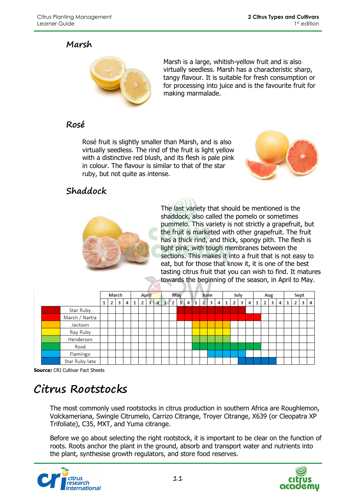#### **Marsh**

![](_page_10_Picture_3.jpeg)

Marsh is a large, whitish-yellow fruit and is also virtually seedless. Marsh has a characteristic sharp, tangy flavour. It is suitable for fresh consumption or for processing into juice and is the favourite fruit for making marmalade.

#### **Rosé**

Rosé fruit is slightly smaller than Marsh, and is also virtually seedless. The rind of the fruit is light yellow with a distinctive red blush, and its flesh is pale pink in colour. The flavour is similar to that of the star ruby, but not quite as intense.

![](_page_10_Picture_7.jpeg)

![](_page_10_Picture_8.jpeg)

The last variety that should be mentioned is the shaddock, also called the pomelo or sometimes pummelo. This variety is not strictly a grapefruit, but the fruit is marketed with other grapefruit. The fruit has a thick rind, and thick, spongy pith. The flesh is light pink, with tough membranes between the sections. This makes it into a fruit that is not easy to eat, but for those that know it, it is one of the best tasting citrus fruit that you can wish to find. It matures towards the beginning of the season, in April to May.

|                  |              | March        |   |   |                | <b>April</b> |                | May        |                |     | June            |                |              | July           |                         |   |   |                | Aug |   |   | Sept           |   |   |
|------------------|--------------|--------------|---|---|----------------|--------------|----------------|------------|----------------|-----|-----------------|----------------|--------------|----------------|-------------------------|---|---|----------------|-----|---|---|----------------|---|---|
|                  | $\mathbf{2}$ | $\mathbf{3}$ | 4 | 1 | $\overline{2}$ | 3.           | $\overline{4}$ | $\sqrt{2}$ | 3 <sub>1</sub> | 4 1 | $2 \mid 3 \mid$ | $\overline{4}$ | $\mathbf{1}$ | 2 <sup>1</sup> | $\overline{\mathbf{3}}$ | 4 | 1 | $\overline{2}$ | 3   | 4 | 1 | 2 <sup>1</sup> | з | 4 |
| <b>Star Ruby</b> |              |              |   |   |                |              |                |            |                |     |                 |                |              |                |                         |   |   |                |     |   |   |                |   |   |
| Marsh / Nartia   |              |              |   |   |                |              |                |            |                |     |                 |                |              |                |                         |   |   |                |     |   |   |                |   |   |
| Jackson          |              |              |   |   |                |              |                |            |                |     |                 |                |              |                |                         |   |   |                |     |   |   |                |   |   |
| Ray Ruby         |              |              |   |   |                |              |                |            |                |     |                 |                |              |                |                         |   |   |                |     |   |   |                |   |   |
| Henderson        |              |              |   |   |                |              |                |            |                |     |                 |                |              |                |                         |   |   |                |     |   |   |                |   |   |
| Rosé             |              |              |   |   |                |              |                |            |                |     |                 |                |              |                |                         |   |   |                |     |   |   |                |   |   |
| Flamingo         |              |              |   |   |                |              |                |            |                |     |                 |                |              |                |                         |   |   |                |     |   |   |                |   |   |
| Star Ruby late   |              |              |   |   |                |              |                |            |                |     |                 |                |              |                |                         |   |   |                |     |   |   |                |   |   |

**Source:** CRI Cultivar Fact Sheets

## **Citrus Rootstocks**

The most commonly used rootstocks in citrus production in southern Africa are Roughlemon, Volckameriana, Swingle Citrumelo, Carrizo Citrange, Troyer Citrange, X639 (or Cleopatra XP Trifoliate), C35, MXT, and Yuma citrange.

Before we go about selecting the right rootstock, it is important to be clear on the function of roots. Roots anchor the plant in the ground, absorb and transport water and nutrients into the plant, synthesise growth regulators, and store food reserves.

![](_page_10_Picture_15.jpeg)

![](_page_10_Picture_16.jpeg)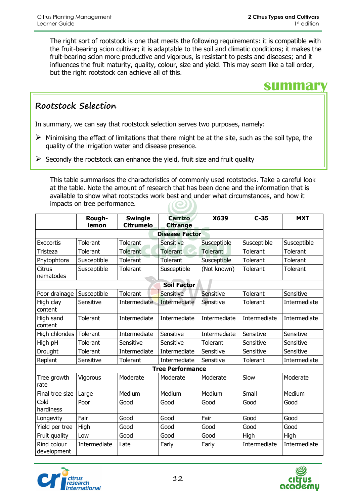The right sort of rootstock is one that meets the following requirements: it is compatible with the fruit-bearing scion cultivar; it is adaptable to the soil and climatic conditions; it makes the fruit-bearing scion more productive and vigorous, is resistant to pests and diseases; and it influences the fruit maturity, quality, colour, size and yield. This may seem like a tall order, but the right rootstock can achieve all of this.

### **summary**

#### **Rootstock Selection**

In summary, we can say that rootstock selection serves two purposes, namely:

- $\triangleright$  Minimising the effect of limitations that there might be at the site, such as the soil type, the quality of the irrigation water and disease presence.
- Secondly the rootstock can enhance the yield, fruit size and fruit quality

This table summarises the characteristics of commonly used rootstocks. Take a careful look at the table. Note the amount of research that has been done and the information that is available to show what rootstocks work best and under what circumstances, and how it impacts on tree performance.

|                            | Rough-<br>lemon | <b>Swingle</b><br><b>Citrumelo</b> | <b>Carrizo</b><br><b>Citrange</b> | X639            | $C-35$          | <b>MXT</b>   |
|----------------------------|-----------------|------------------------------------|-----------------------------------|-----------------|-----------------|--------------|
|                            |                 |                                    | <b>Disease Factor</b>             |                 |                 |              |
| <b>Exocortis</b>           | <b>Tolerant</b> | Tolerant                           | Sensitive                         | Susceptible     | Susceptible     | Susceptible  |
| Tristeza                   | <b>Tolerant</b> | <b>Tolerant</b>                    | <b>Tolerant</b>                   | <b>Tolerant</b> | <b>Tolerant</b> | Tolerant     |
| Phytophtora                | Susceptible     | Tolerant                           | <b>Tolerant</b>                   | Susceptible     | <b>Tolerant</b> | Tolerant     |
| <b>Citrus</b><br>nematodes | Susceptible     | Tolerant                           | Susceptible                       | (Not known)     | Tolerant        | Tolerant     |
|                            |                 |                                    | <b>Soil Factor</b>                |                 |                 |              |
| Poor drainage              | Susceptible     | Tolerant                           | Sensitive                         | Sensitive       | Tolerant        | Sensitive    |
| High clay<br>content       | Sensitive       | Intermediate                       | Intermediate                      | Sensitive       | Tolerant        | Intermediate |
| High sand<br>content       | <b>Tolerant</b> | Intermediate                       | Intermediate                      | Intermediate    | Intermediate    | Intermediate |
| High chlorides             | <b>Tolerant</b> | Intermediate                       | Sensitive                         | Intermediate    | Sensitive       | Sensitive    |
| High pH                    | Tolerant        | Sensitive                          | Sensitive                         | Tolerant        | Sensitive       | Sensitive    |
| Drought                    | <b>Tolerant</b> | Intermediate                       | Intermediate                      | Sensitive       | Sensitive       | Sensitive    |
| Replant                    | Sensitive       | Tolerant                           | Intermediate                      | Sensitive       | Tolerant        | Intermediate |
|                            |                 |                                    | <b>Tree Performance</b>           |                 |                 |              |
| Tree growth<br>rate        | Vigorous        | Moderate                           | Moderate                          | Moderate        | Slow            | Moderate     |
| Final tree size            | Large           | Medium                             | Medium                            | Medium          | Small           | Medium       |
| Cold<br>hardiness          | Poor            | Good                               | Good                              | Good            | Good            | Good         |
| Longevity                  | Fair            | Good                               | Good                              | Fair            | Good            | Good         |
| Yield per tree             | High            | Good                               | Good                              | Good            | Good            | Good         |
| Fruit quality              | Low             | Good                               | Good                              | Good            | High            | High         |
| Rind colour<br>development | Intermediate    | Late                               | Early                             | Early           | Intermediate    | Intermediate |

![](_page_11_Picture_10.jpeg)

![](_page_11_Picture_11.jpeg)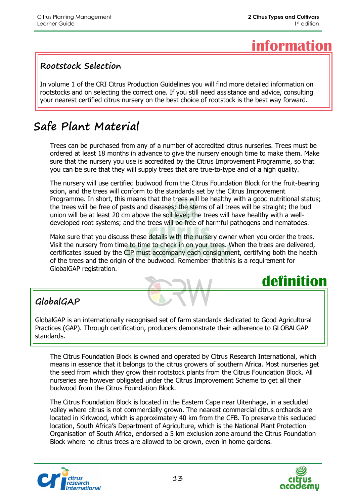## **information**

#### **Rootstock Selection**

In volume 1 of the CRI Citrus Production Guidelines you will find more detailed information on rootstocks and on selecting the correct one. If you still need assistance and advice, consulting your nearest certified citrus nursery on the best choice of rootstock is the best way forward.

### **Safe Plant Material**

Trees can be purchased from any of a number of accredited citrus nurseries. Trees must be ordered at least 18 months in advance to give the nursery enough time to make them. Make sure that the nursery you use is accredited by the Citrus Improvement Programme, so that you can be sure that they will supply trees that are true-to-type and of a high quality.

The nursery will use certified budwood from the Citrus Foundation Block for the fruit-bearing scion, and the trees will conform to the standards set by the Citrus Improvement Programme. In short, this means that the trees will be healthy with a good nutritional status; the trees will be free of pests and diseases; the stems of all trees will be straight; the bud union will be at least 20 cm above the soil level; the trees will have healthy with a welldeveloped root systems; and the trees will be free of harmful pathogens and nematodes.

Make sure that you discuss these details with the nursery owner when you order the trees. Visit the nursery from time to time to check in on your trees. When the trees are delivered, certificates issued by the CIP must accompany each consignment, certifying both the health of the trees and the origin of the budwood. Remember that this is a requirement for GlobalGAP registration.

![](_page_12_Picture_9.jpeg)

### **GlobalGAP**

GlobalGAP is an internationally recognised set of farm standards dedicated to Good Agricultural Practices (GAP). Through certification, producers demonstrate their adherence to GLOBALGAP standards.

The Citrus Foundation Block is owned and operated by Citrus Research International, which means in essence that it belongs to the citrus growers of southern Africa. Most nurseries get the seed from which they grow their rootstock plants from the Citrus Foundation Block. All nurseries are however obligated under the Citrus Improvement Scheme to get all their budwood from the Citrus Foundation Block.

The Citrus Foundation Block is located in the Eastern Cape near Uitenhage, in a secluded valley where citrus is not commercially grown. The nearest commercial citrus orchards are located in Kirkwood, which is approximately 40 km from the CFB. To preserve this secluded location, South Africa's Department of Agriculture, which is the National Plant Protection Organisation of South Africa, endorsed a 5 km exclusion zone around the Citrus Foundation Block where no citrus trees are allowed to be grown, even in home gardens.

![](_page_12_Picture_14.jpeg)

![](_page_12_Picture_15.jpeg)